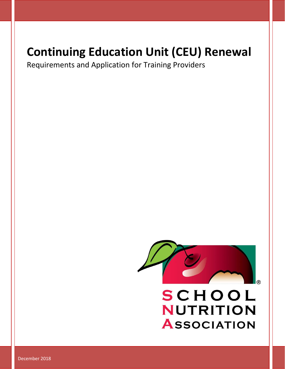# **Continuing Education Unit (CEU) Renewal**

Requirements and Application for Training Providers



**ASSOCIATION** 

December 2018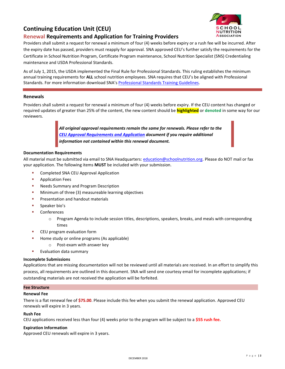## **Continuing Education Unit (CEU)**

### **Renewal Requirements and Application for Training Providers**



Providers shall submit a request for renewal a minimum of four (4) weeks before expiry or a rush fee will be incurred. After the expiry date has passed, providers must reapply for approval. SNA approved CEU's further satisfy the requirements for the Certificate in School Nutrition Program, Certificate Program maintenance, School Nutrition Specialist (SNS) Credentialing maintenance and USDA Professional Standards.

As of July 1, 2015, the USDA implemented the Final Rule for Professional Standards. This ruling establishes the minimum annual training requirements for **ALL** school nutrition employees. SNA requires that CEU's be aligned with Professional Standards. For more information download SNA's [Professional Standards Training Guidelines.](https://schoolnutrition.org/uploadedFiles/4_Certification,_Education_and_Professional_development/8_Professional_Standards/Professional%20Standards%20Training%20Guidelines%20JUL%202015.pdf)

#### **Renewals**

Providers shall submit a request for renewal a minimum of four (4) weeks before expiry. If the CEU content has changed or required updates of greater than 25% of the content, the new content should be **highlighted** or **denoted** in some way for our reviewers.

> *All original approval requirements remain the same for renewals. Please refer to the [CEU Approval Requirements and Application](file:///C:/Users/taiken/iCloudDrive/School%20Nutrition/APPROVAL%20PROGRAMS/pending) document if you require additional information not contained within this renewal document.*

#### **Documentation Requirements**

All material must be submitted via email to SNA Headquarters: [education@schoolnutrition.org.](mailto:education@schoolnutrition.org) Please do NOT mail or fax your application. The following items **MUST** be included with your submission.

- Completed SNA CEU Approval Application
- Application Fees
- Needs Summary and Program Description
- Minimum of three (3) measureable learning objectives
- **•** Presentation and handout materials
- Speaker bio's
- Conferences
	- $\circ$  Program Agenda to include session titles, descriptions, speakers, breaks, and meals with corresponding times
- CEU program evaluation form
- Home study or online programs (As applicable)
	- o Post-exam with answer key
- Evaluation data summary

#### **Incomplete Submissions**

Applications that are missing documentation will not be reviewed until all materials are received. In an effort to simplify this process, all requirements are outlined in this document. SNA will send one courtesy email for incomplete applications; if outstanding materials are not received the application will be forfeited.

#### **Fee Structure**

#### **Renewal Fee**

There is a flat renewal fee of **\$75.00**. Please include this fee when you submit the renewal application. Approved CEU renewals will expire in 3 years.

#### **Rush Fee**

CEU applications received less than four (4) weeks prior to the program will be subject to a **\$55 rush fee.**

#### **Expiration Information**

Approved CEU renewals will expire in 3 years.